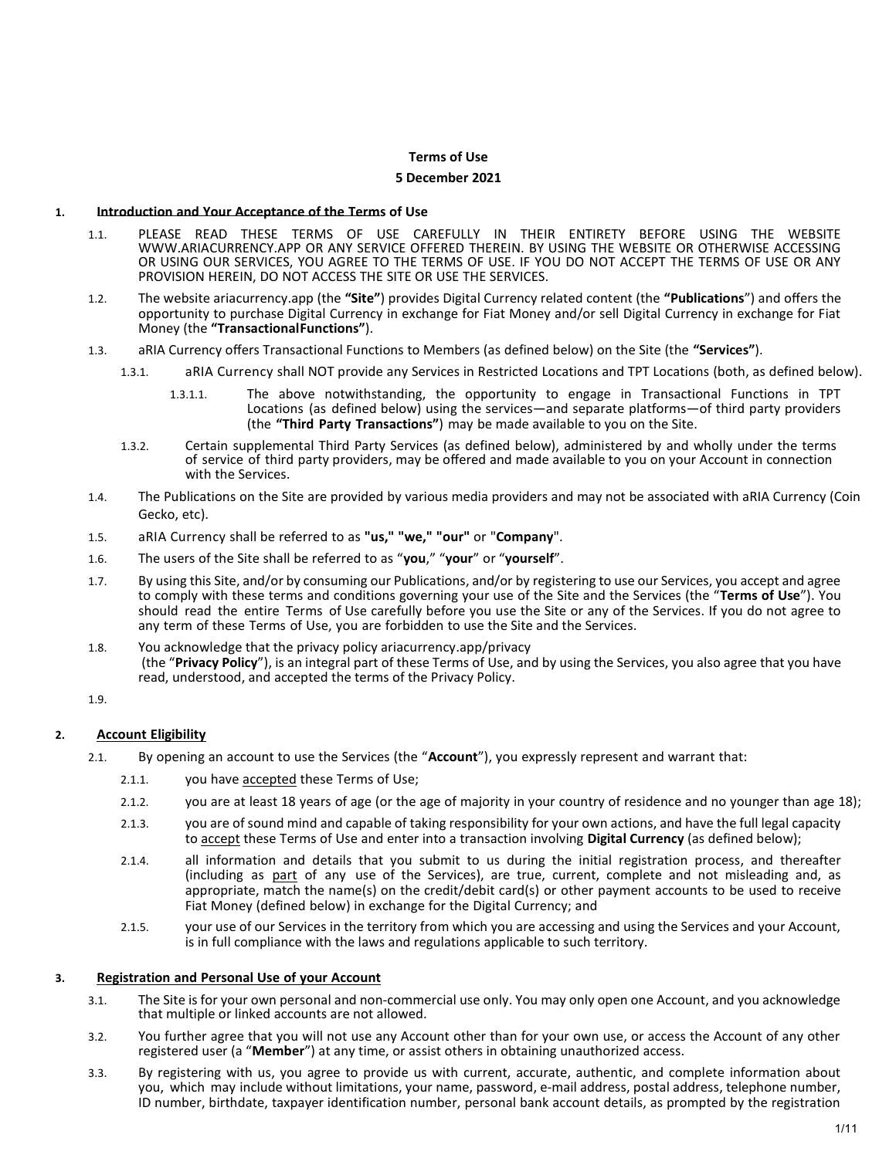# Terms of Use

### 5 December 2021

#### 1. Introduction and Your Acceptance of the Terms of Use

- 1.1. PLEASE READ THESE TERMS OF USE CAREFULLY IN THEIR ENTIRETY BEFORE USING THE WEBSITE WWW.ARIACURRENCY.APP OR ANY SERVICE OFFERED THEREIN. BY USING THE WEBSITE OR OTHERWISE ACCESSING OR USING OUR SERVICES, YOU AGREE TO THE TERMS OF USE. IF YOU DO NOT ACCEPT THE TERMS OF USE OR ANY PROVISION HEREIN, DO NOT ACCESS THE SITE OR USE THE SERVICES.
- 1.2. The website ariacurrency.app (the "Site") provides Digital Currency related content (the "Publications") and offers the opportunity to purchase Digital Currency in exchange for Fiat Money and/or sell Digital Currency in exchange for Fiat Money (the "Transactional Functions").
- 1.3. aRIA Currency offers Transactional Functions to Members (as defined below) on the Site (the "Services").
	- 1.3.1. aRIA Currency shall NOT provide any Services in Restricted Locations and TPT Locations (both, as defined below).
		- 1.3.1.1. The above notwithstanding, the opportunity to engage in Transactional Functions in TPT Locations (as defined below) using the services—and separate platforms—of third party providers (the "Third Party Transactions") may be made available to you on the Site.
	- 1.3.2. Certain supplemental Third Party Services (as defined below), administered by and wholly under the terms of service of third party providers, may be offered and made available to you on your Account in connection with the Services.
- 1.4. The Publications on the Site are provided by various media providers and may not be associated with aRIA Currency (Coin Gecko, etc).
- 1.5. aRIA Currency shall be referred to as "us," "we," "our" or "Company".
- 1.6. The users of the Site shall be referred to as "you," "your" or "yourself".
- 1.7. By using this Site, and/or by consuming our Publications, and/or by registering to use our Services, you accept and agree to comply with these terms and conditions governing your use of the Site and the Services (the "Terms of Use"). You should read the entire Terms of Use carefully before you use the Site or any of the Services. If you do not agree to any term of these Terms of Use, you are forbidden to use the Site and the Services.
- 1.8. You acknowledge that the privacy policy ariacurrency.app/privacy (the "Privacy Policy"), is an integral part of these Terms of Use, and by using the Services, you also agree that you have read, understood, and accepted the terms of the Privacy Policy.

1.9.

## 2. Account Eligibility

- 2.1. By opening an account to use the Services (the "Account"), you expressly represent and warrant that:
	- 2.1.1. you have accepted these Terms of Use;
	- 2.1.2. you are at least 18 years of age (or the age of majority in your country of residence and no younger than age 18);
	- 2.1.3. you are of sound mind and capable of taking responsibility for your own actions, and have the full legal capacity to accept these Terms of Use and enter into a transaction involving Digital Currency (as defined below);
	- 2.1.4. all information and details that you submit to us during the initial registration process, and thereafter (including as part of any use of the Services), are true, current, complete and not misleading and, as appropriate, match the name(s) on the credit/debit card(s) or other payment accounts to be used to receive Fiat Money (defined below) in exchange for the Digital Currency; and
	- 2.1.5. your use of our Services in the territory from which you are accessing and using the Services and your Account, is in full compliance with the laws and regulations applicable to such territory.

### 3. Registration and Personal Use of your Account

- 3.1. The Site is for your own personal and non-commercial use only. You may only open one Account, and you acknowledge that multiple or linked accounts are not allowed.
- 3.2. You further agree that you will not use any Account other than for your own use, or access the Account of any other registered user (a "Member") at any time, or assist others in obtaining unauthorized access.
- 3.3. By registering with us, you agree to provide us with current, accurate, authentic, and complete information about you, which may include without limitations, your name, password, e-mail address, postal address, telephone number, ID number, birthdate, taxpayer identification number, personal bank account details, as prompted by the registration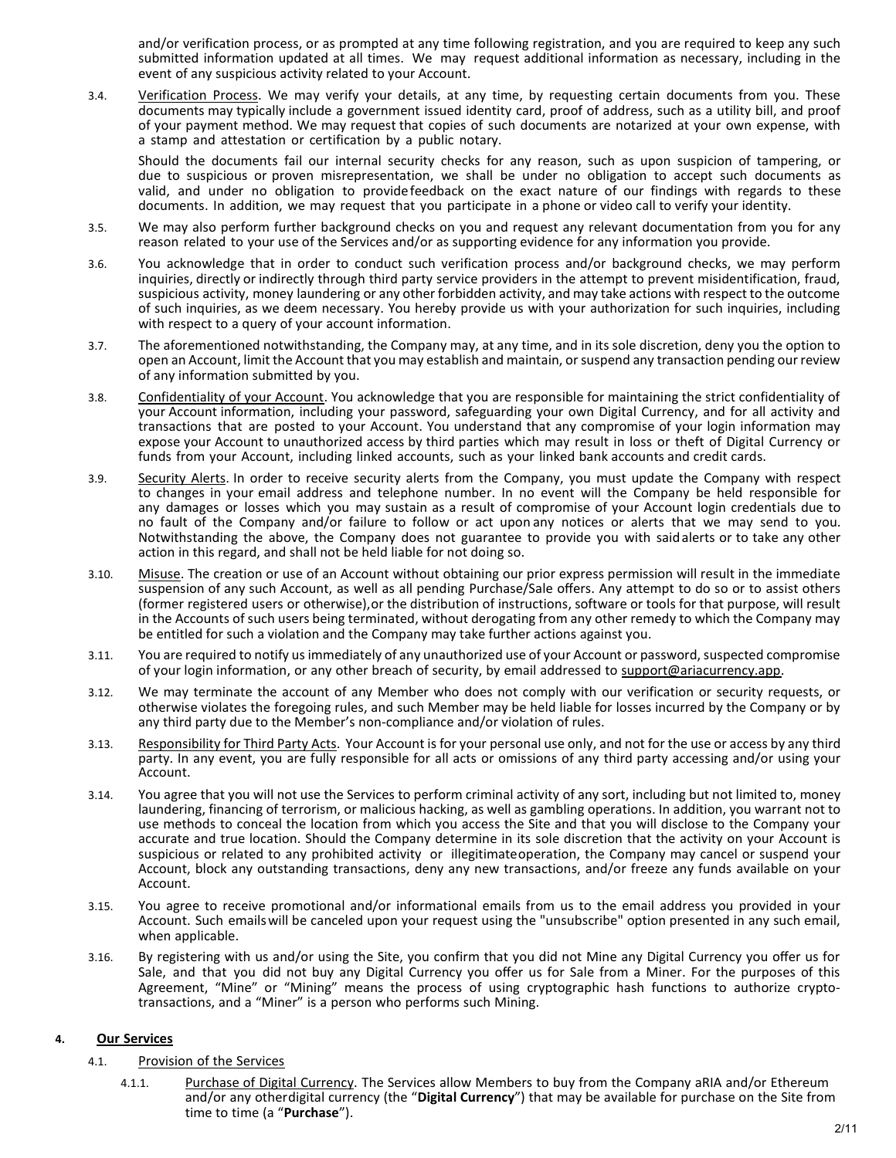and/or verification process, or as prompted at any time following registration, and you are required to keep any such submitted information updated at all times. We may request additional information as necessary, including in the event of any suspicious activity related to your Account.

3.4. Verification Process. We may verify your details, at any time, by requesting certain documents from you. These documents may typically include a government issued identity card, proof of address, such as a utility bill, and proof of your payment method. We may request that copies of such documents are notarized at your own expense, with a stamp and attestation or certification by a public notary.

Should the documents fail our internal security checks for any reason, such as upon suspicion of tampering, or due to suspicious or proven misrepresentation, we shall be under no obligation to accept such documents as valid, and under no obligation to provide feedback on the exact nature of our findings with regards to these documents. In addition, we may request that you participate in a phone or video call to verify your identity.

- 3.5. We may also perform further background checks on you and request any relevant documentation from you for any reason related to your use of the Services and/or as supporting evidence for any information you provide.
- 3.6. You acknowledge that in order to conduct such verification process and/or background checks, we may perform inquiries, directly or indirectly through third party service providers in the attempt to prevent misidentification, fraud, suspicious activity, money laundering or any other forbidden activity, and may take actions with respect to the outcome of such inquiries, as we deem necessary. You hereby provide us with your authorization for such inquiries, including with respect to a query of your account information.
- 3.7. The aforementioned notwithstanding, the Company may, at any time, and in its sole discretion, deny you the option to open an Account, limit the Account that you may establish and maintain, or suspend any transaction pending our review of any information submitted by you.
- 3.8. Confidentiality of your Account. You acknowledge that you are responsible for maintaining the strict confidentiality of your Account information, including your password, safeguarding your own Digital Currency, and for all activity and transactions that are posted to your Account. You understand that any compromise of your login information may expose your Account to unauthorized access by third parties which may result in loss or theft of Digital Currency or funds from your Account, including linked accounts, such as your linked bank accounts and credit cards.
- 3.9. Security Alerts. In order to receive security alerts from the Company, you must update the Company with respect to changes in your email address and telephone number. In no event will the Company be held responsible for any damages or losses which you may sustain as a result of compromise of your Account login credentials due to no fault of the Company and/or failure to follow or act upon any notices or alerts that we may send to you. Notwithstanding the above, the Company does not guarantee to provide you with said alerts or to take any other action in this regard, and shall not be held liable for not doing so.
- 3.10. Misuse. The creation or use of an Account without obtaining our prior express permission will result in the immediate suspension of any such Account, as well as all pending Purchase/Sale offers. Any attempt to do so or to assist others (former registered users or otherwise), or the distribution of instructions, software or tools for that purpose, will result in the Accounts of such users being terminated, without derogating from any other remedy to which the Company may be entitled for such a violation and the Company may take further actions against you.
- 3.11. You are required to notify us immediately of any unauthorized use of your Account or password, suspected compromise of your login information, or any other breach of security, by email addressed to support@ariacurrency.app.
- 3.12. We may terminate the account of any Member who does not comply with our verification or security requests, or otherwise violates the foregoing rules, and such Member may be held liable for losses incurred by the Company or by any third party due to the Member's non-compliance and/or violation of rules.
- 3.13. Responsibility for Third Party Acts. Your Account is for your personal use only, and not for the use or access by any third party. In any event, you are fully responsible for all acts or omissions of any third party accessing and/or using your Account.
- 3.14. You agree that you will not use the Services to perform criminal activity of any sort, including but not limited to, money laundering, financing of terrorism, or malicious hacking, as well as gambling operations. In addition, you warrant not to use methods to conceal the location from which you access the Site and that you will disclose to the Company your accurate and true location. Should the Company determine in its sole discretion that the activity on your Account is suspicious or related to any prohibited activity or illegitimate operation, the Company may cancel or suspend your Account, block any outstanding transactions, deny any new transactions, and/or freeze any funds available on your Account.
- 3.15. You agree to receive promotional and/or informational emails from us to the email address you provided in your Account. Such emails will be canceled upon your request using the "unsubscribe" option presented in any such email, when applicable.
- 3.16. By registering with us and/or using the Site, you confirm that you did not Mine any Digital Currency you offer us for Sale, and that you did not buy any Digital Currency you offer us for Sale from a Miner. For the purposes of this Agreement, "Mine" or "Mining" means the process of using cryptographic hash functions to authorize cryptotransactions, and a "Miner" is a person who performs such Mining.

# 4. Our Services

- 4.1. Provision of the Services
	- 4.1.1. Purchase of Digital Currency. The Services allow Members to buy from the Company aRIA and/or Ethereum and/or any other digital currency (the "Digital Currency") that may be available for purchase on the Site from time to time (a "Purchase").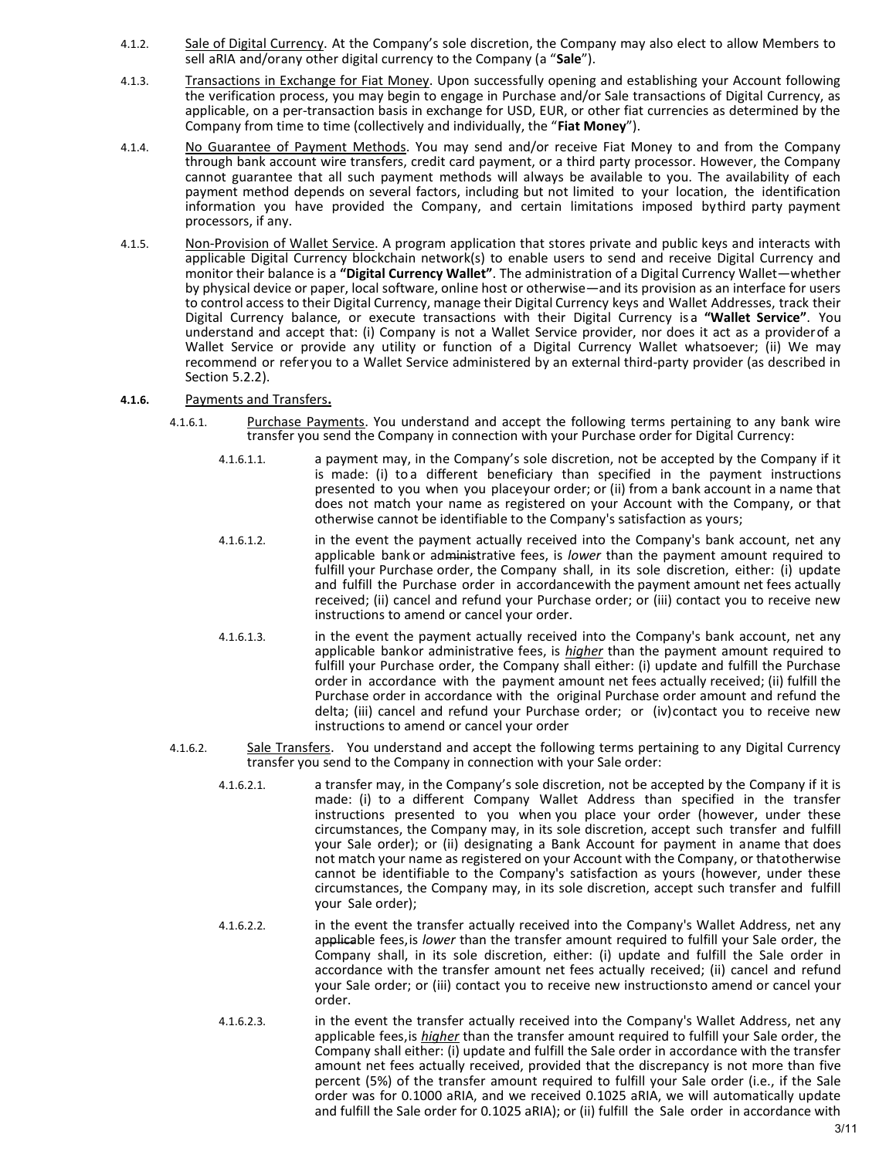- 4.1.2. Sale of Digital Currency. At the Company's sole discretion, the Company may also elect to allow Members to sell aRIA and/orany other digital currency to the Company (a "Sale").
- 4.1.3. Transactions in Exchange for Fiat Money. Upon successfully opening and establishing your Account following the verification process, you may begin to engage in Purchase and/or Sale transactions of Digital Currency, as applicable, on a per-transaction basis in exchange for USD, EUR, or other fiat currencies as determined by the Company from time to time (collectively and individually, the "Fiat Money").
- 4.1.4. No Guarantee of Payment Methods. You may send and/or receive Fiat Money to and from the Company through bank account wire transfers, credit card payment, or a third party processor. However, the Company cannot guarantee that all such payment methods will always be available to you. The availability of each payment method depends on several factors, including but not limited to your location, the identification information you have provided the Company, and certain limitations imposed by third party payment processors, if any.
- 4.1.5. Non-Provision of Wallet Service. A program application that stores private and public keys and interacts with applicable Digital Currency blockchain network(s) to enable users to send and receive Digital Currency and monitor their balance is a "Digital Currency Wallet". The administration of a Digital Currency Wallet—whether by physical device or paper, local software, online host or otherwise—and its provision as an interface for users to control access to their Digital Currency, manage their Digital Currency keys and Wallet Addresses, track their Digital Currency balance, or execute transactions with their Digital Currency is a "Wallet Service". You understand and accept that: (i) Company is not a Wallet Service provider, nor does it act as a provider of a Wallet Service or provide any utility or function of a Digital Currency Wallet whatsoever; (ii) We may recommend or refer you to a Wallet Service administered by an external third-party provider (as described in Section 5.2.2).
- 4.1.6. Payments and Transfers.
	- 4.1.6.1. Purchase Payments. You understand and accept the following terms pertaining to any bank wire transfer you send the Company in connection with your Purchase order for Digital Currency:
		- 4.1.6.1.1. a payment may, in the Company's sole discretion, not be accepted by the Company if it is made: (i) to a different beneficiary than specified in the payment instructions presented to you when you place your order; or (ii) from a bank account in a name that does not match your name as registered on your Account with the Company, or that otherwise cannot be identifiable to the Company's satisfaction as yours;
		- 4.1.6.1.2. in the event the payment actually received into the Company's bank account, net any applicable bank or administrative fees, is lower than the payment amount required to fulfill your Purchase order, the Company shall, in its sole discretion, either: (i) update and fulfill the Purchase order in accordance with the payment amount net fees actually received; (ii) cancel and refund your Purchase order; or (iii) contact you to receive new instructions to amend or cancel your order.
		- 4.1.6.1.3. in the event the payment actually received into the Company's bank account, net any applicable bankor administrative fees, is *higher* than the payment amount required to fulfill your Purchase order, the Company shall either: (i) update and fulfill the Purchase order in accordance with the payment amount net fees actually received; (ii) fulfill the Purchase order in accordance with the original Purchase order amount and refund the delta; (iii) cancel and refund your Purchase order; or (iv) contact you to receive new instructions to amend or cancel your order
	- 4.1.6.2. Sale Transfers. You understand and accept the following terms pertaining to any Digital Currency transfer you send to the Company in connection with your Sale order:
		- 4.1.6.2.1. a transfer may, in the Company's sole discretion, not be accepted by the Company if it is made: (i) to a different Company Wallet Address than specified in the transfer instructions presented to you when you place your order (however, under these circumstances, the Company may, in its sole discretion, accept such transfer and fulfill your Sale order); or (ii) designating a Bank Account for payment in a name that does not match your name as registered on your Account with the Company, or that otherwise cannot be identifiable to the Company's satisfaction as yours (however, under these circumstances, the Company may, in its sole discretion, accept such transfer and fulfill your Sale order);
		- 4.1.6.2.2. in the event the transfer actually received into the Company's Wallet Address, net any applicable fees, is lower than the transfer amount required to fulfill your Sale order, the Company shall, in its sole discretion, either: (i) update and fulfill the Sale order in accordance with the transfer amount net fees actually received; (ii) cancel and refund your Sale order; or (iii) contact you to receive new instructions to amend or cancel your order.
		- 4.1.6.2.3. in the event the transfer actually received into the Company's Wallet Address, net any applicable fees, is *higher* than the transfer amount required to fulfill your Sale order, the Company shall either: (i) update and fulfill the Sale order in accordance with the transfer amount net fees actually received, provided that the discrepancy is not more than five percent (5%) of the transfer amount required to fulfill your Sale order (i.e., if the Sale order was for 0.1000 aRIA, and we received 0.1025 aRIA, we will automatically update and fulfill the Sale order for 0.1025 aRIA); or (ii) fulfill the Sale order in accordance with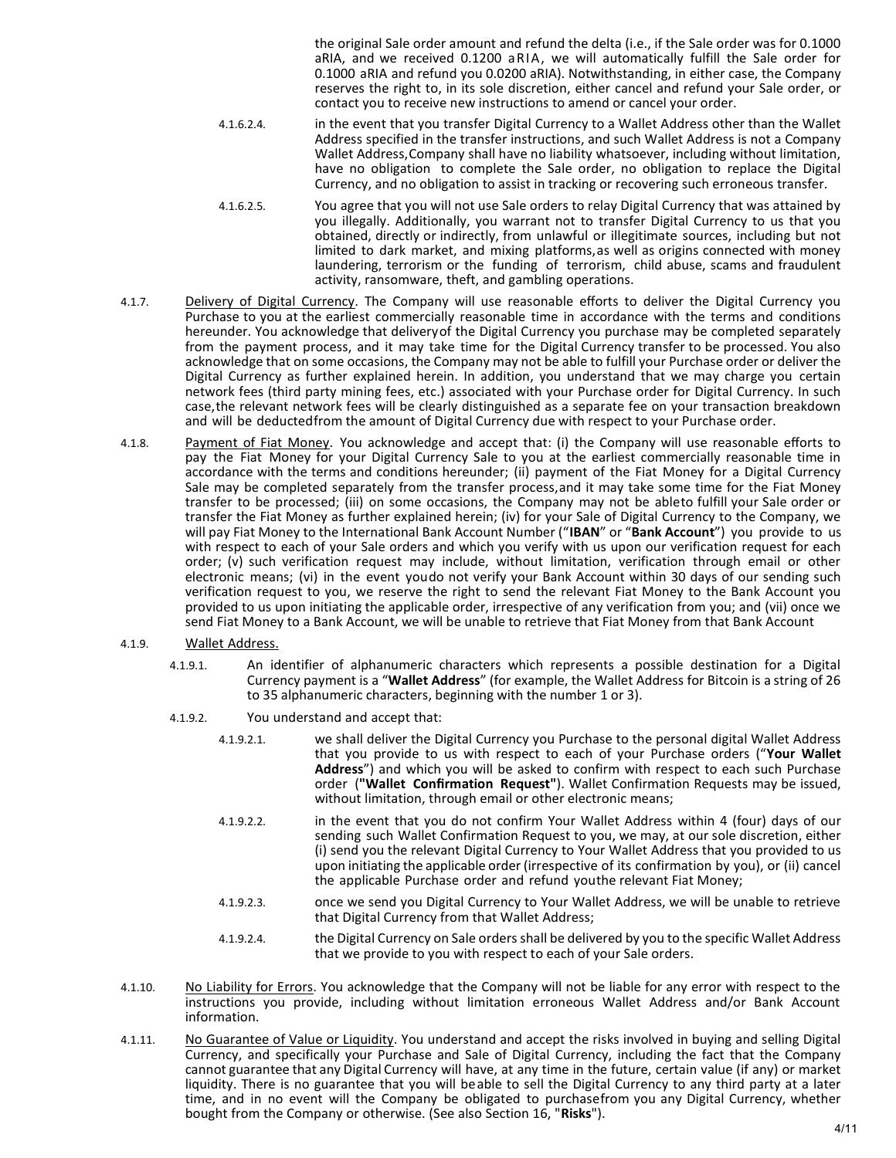the original Sale order amount and refund the delta (i.e., if the Sale order was for 0.1000 aRIA, and we received 0.1200 aRIA, we will automatically fulfill the Sale order for 0.1000 aRIA and refund you 0.0200 aRIA). Notwithstanding, in either case, the Company reserves the right to, in its sole discretion, either cancel and refund your Sale order, or contact you to receive new instructions to amend or cancel your order.

- 4.1.6.2.4. in the event that you transfer Digital Currency to a Wallet Address other than the Wallet Address specified in the transfer instructions, and such Wallet Address is not a Company Wallet Address, Company shall have no liability whatsoever, including without limitation, have no obligation to complete the Sale order, no obligation to replace the Digital Currency, and no obligation to assist in tracking or recovering such erroneous transfer.
- 4.1.6.2.5. You agree that you will not use Sale orders to relay Digital Currency that was attained by you illegally. Additionally, you warrant not to transfer Digital Currency to us that you obtained, directly or indirectly, from unlawful or illegitimate sources, including but not limited to dark market, and mixing platforms, as well as origins connected with money laundering, terrorism or the funding of terrorism, child abuse, scams and fraudulent activity, ransomware, theft, and gambling operations.
- 4.1.7. Delivery of Digital Currency. The Company will use reasonable efforts to deliver the Digital Currency you Purchase to you at the earliest commercially reasonable time in accordance with the terms and conditions hereunder. You acknowledge that delivery of the Digital Currency you purchase may be completed separately from the payment process, and it may take time for the Digital Currency transfer to be processed. You also acknowledge that on some occasions, the Company may not be able to fulfill your Purchase order or deliver the Digital Currency as further explained herein. In addition, you understand that we may charge you certain network fees (third party mining fees, etc.) associated with your Purchase order for Digital Currency. In such case, the relevant network fees will be clearly distinguished as a separate fee on your transaction breakdown and will be deducted from the amount of Digital Currency due with respect to your Purchase order.
- 4.1.8. Payment of Fiat Money. You acknowledge and accept that: (i) the Company will use reasonable efforts to pay the Fiat Money for your Digital Currency Sale to you at the earliest commercially reasonable time in accordance with the terms and conditions hereunder; (ii) payment of the Fiat Money for a Digital Currency Sale may be completed separately from the transfer process, and it may take some time for the Fiat Money transfer to be processed; (iii) on some occasions, the Company may not be ableto fulfill your Sale order or transfer the Fiat Money as further explained herein; (iv) for your Sale of Digital Currency to the Company, we will pay Fiat Money to the International Bank Account Number ("IBAN" or "Bank Account") you provide to us with respect to each of your Sale orders and which you verify with us upon our verification request for each order; (v) such verification request may include, without limitation, verification through email or other electronic means; (vi) in the event youdo not verify your Bank Account within 30 days of our sending such verification request to you, we reserve the right to send the relevant Fiat Money to the Bank Account you provided to us upon initiating the applicable order, irrespective of any verification from you; and (vii) once we send Fiat Money to a Bank Account, we will be unable to retrieve that Fiat Money from that Bank Account
- 4.1.9. Wallet Address.
	- 4.1.9.1. An identifier of alphanumeric characters which represents a possible destination for a Digital Currency payment is a "Wallet Address" (for example, the Wallet Address for Bitcoin is a string of 26 to 35 alphanumeric characters, beginning with the number 1 or 3).
	- 4.1.9.2. You understand and accept that:
		- 4.1.9.2.1. we shall deliver the Digital Currency you Purchase to the personal digital Wallet Address that you provide to us with respect to each of your Purchase orders ("Your Wallet Address") and which you will be asked to confirm with respect to each such Purchase order ("Wallet Confirmation Request"). Wallet Confirmation Requests may be issued, without limitation, through email or other electronic means;
		- 4.1.9.2.2. in the event that you do not confirm Your Wallet Address within 4 (four) days of our sending such Wallet Confirmation Request to you, we may, at our sole discretion, either (i) send you the relevant Digital Currency to Your Wallet Address that you provided to us upon initiating the applicable order (irrespective of its confirmation by you), or (ii) cancel the applicable Purchase order and refund youthe relevant Fiat Money;
		- 4.1.9.2.3. once we send you Digital Currency to Your Wallet Address, we will be unable to retrieve that Digital Currency from that Wallet Address;
		- 4.1.9.2.4. the Digital Currency on Sale orders shall be delivered by you to the specific Wallet Address that we provide to you with respect to each of your Sale orders.
- 4.1.10. No Liability for Errors. You acknowledge that the Company will not be liable for any error with respect to the instructions you provide, including without limitation erroneous Wallet Address and/or Bank Account information.
- 4.1.11. No Guarantee of Value or Liquidity. You understand and accept the risks involved in buying and selling Digital Currency, and specifically your Purchase and Sale of Digital Currency, including the fact that the Company cannot guarantee that any Digital Currency will have, at any time in the future, certain value (if any) or market liquidity. There is no guarantee that you will beable to sell the Digital Currency to any third party at a later time, and in no event will the Company be obligated to purchase from you any Digital Currency, whether bought from the Company or otherwise. (See also Section 16, "Risks").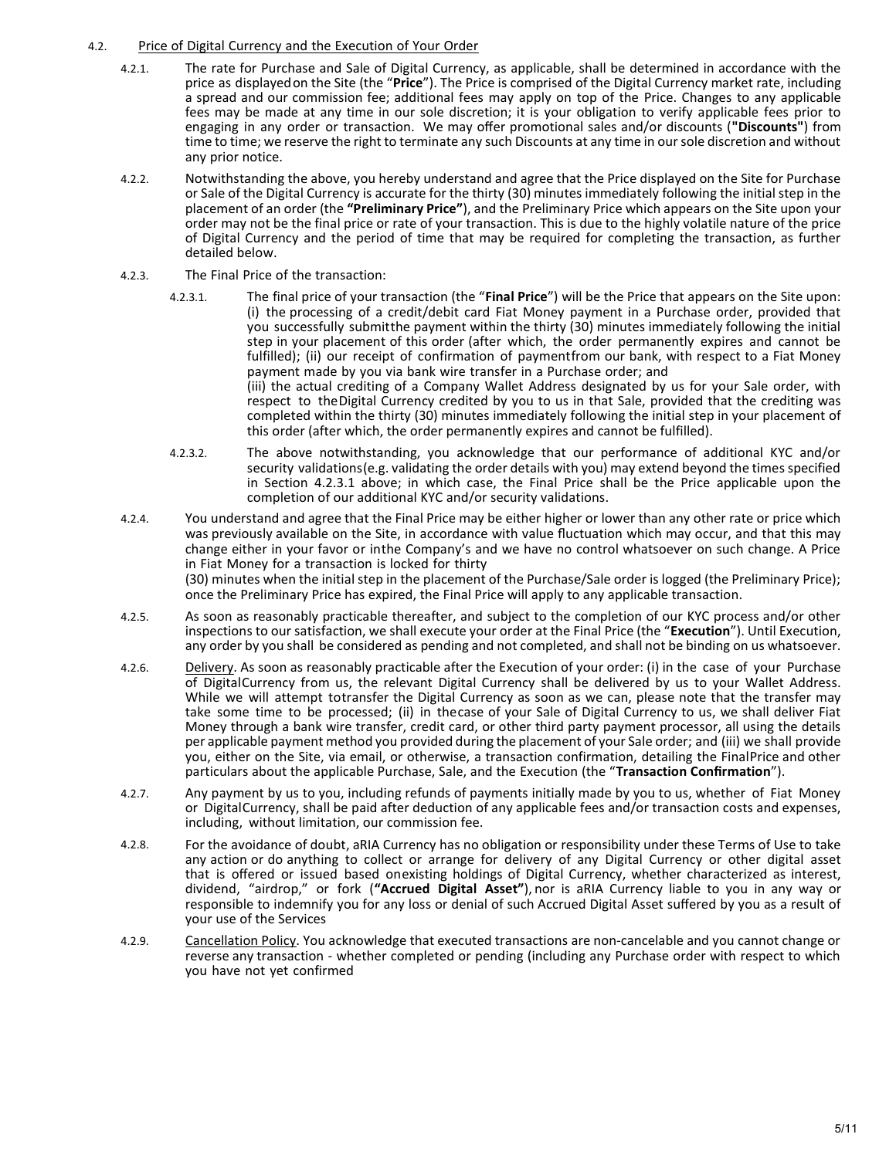# 4.2. Price of Digital Currency and the Execution of Your Order

- 4.2.1. The rate for Purchase and Sale of Digital Currency, as applicable, shall be determined in accordance with the price as displayed on the Site (the "Price"). The Price is comprised of the Digital Currency market rate, including a spread and our commission fee; additional fees may apply on top of the Price. Changes to any applicable fees may be made at any time in our sole discretion; it is your obligation to verify applicable fees prior to engaging in any order or transaction. We may offer promotional sales and/or discounts ("Discounts") from time to time; we reserve the right to terminate any such Discounts at any time in our sole discretion and without any prior notice.
- 4.2.2. Notwithstanding the above, you hereby understand and agree that the Price displayed on the Site for Purchase or Sale of the Digital Currency is accurate for the thirty (30) minutes immediately following the initial step in the placement of an order (the "Preliminary Price"), and the Preliminary Price which appears on the Site upon your order may not be the final price or rate of your transaction. This is due to the highly volatile nature of the price of Digital Currency and the period of time that may be required for completing the transaction, as further detailed below.
- 4.2.3. The Final Price of the transaction:
	- 4.2.3.1. The final price of your transaction (the "Final Price") will be the Price that appears on the Site upon: (i) the processing of a credit/debit card Fiat Money payment in a Purchase order, provided that you successfully submitthe payment within the thirty (30) minutes immediately following the initial step in your placement of this order (after which, the order permanently expires and cannot be fulfilled); (ii) our receipt of confirmation of payment from our bank, with respect to a Fiat Money payment made by you via bank wire transfer in a Purchase order; and (iii) the actual crediting of a Company Wallet Address designated by us for your Sale order, with respect to the Digital Currency credited by you to us in that Sale, provided that the crediting was completed within the thirty (30) minutes immediately following the initial step in your placement of this order (after which, the order permanently expires and cannot be fulfilled).
	- 4.2.3.2. The above notwithstanding, you acknowledge that our performance of additional KYC and/or security validations (e.g. validating the order details with you) may extend beyond the times specified in Section 4.2.3.1 above; in which case, the Final Price shall be the Price applicable upon the completion of our additional KYC and/or security validations.
- 4.2.4. You understand and agree that the Final Price may be either higher or lower than any other rate or price which was previously available on the Site, in accordance with value fluctuation which may occur, and that this may change either in your favor or in the Company's and we have no control whatsoever on such change. A Price in Fiat Money for a transaction is locked for thirty (30) minutes when the initial step in the placement of the Purchase/Sale order is logged (the Preliminary Price); once the Preliminary Price has expired, the Final Price will apply to any applicable transaction.
- 4.2.5. As soon as reasonably practicable thereafter, and subject to the completion of our KYC process and/or other inspections to our satisfaction, we shall execute your order at the Final Price (the "Execution"). Until Execution, any order by you shall be considered as pending and not completed, and shall not be binding on us whatsoever.
- 4.2.6. Delivery. As soon as reasonably practicable after the Execution of your order: (i) in the case of your Purchase of Digital Currency from us, the relevant Digital Currency shall be delivered by us to your Wallet Address. While we will attempt totransfer the Digital Currency as soon as we can, please note that the transfer may take some time to be processed; (ii) in the case of your Sale of Digital Currency to us, we shall deliver Fiat Money through a bank wire transfer, credit card, or other third party payment processor, all using the details per applicable payment method you provided during the placement of your Sale order; and (iii) we shall provide you, either on the Site, via email, or otherwise, a transaction confirmation, detailing the Final Price and other particulars about the applicable Purchase, Sale, and the Execution (the "Transaction Confirmation").
- 4.2.7. Any payment by us to you, including refunds of payments initially made by you to us, whether of Fiat Money or Digital Currency, shall be paid after deduction of any applicable fees and/or transaction costs and expenses, including, without limitation, our commission fee.
- 4.2.8. For the avoidance of doubt, aRIA Currency has no obligation or responsibility under these Terms of Use to take any action or do anything to collect or arrange for delivery of any Digital Currency or other digital asset that is offered or issued based on existing holdings of Digital Currency, whether characterized as interest, dividend, "airdrop," or fork ("Accrued Digital Asset"), nor is aRIA Currency liable to you in any way or responsible to indemnify you for any loss or denial of such Accrued Digital Asset suffered by you as a result of your use of the Services
- 4.2.9. Cancellation Policy. You acknowledge that executed transactions are non-cancelable and you cannot change or reverse any transaction - whether completed or pending (including any Purchase order with respect to which you have not yet confirmed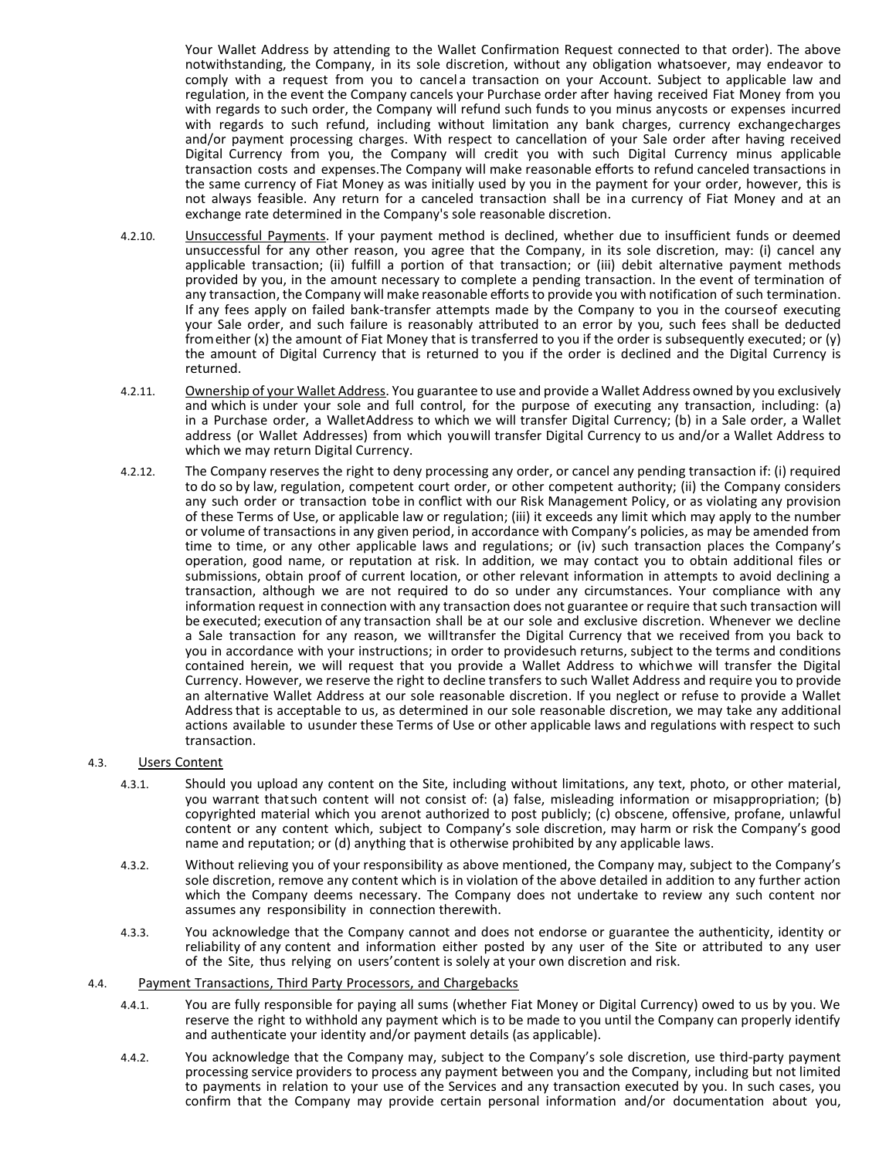Your Wallet Address by attending to the Wallet Confirmation Request connected to that order). The above notwithstanding, the Company, in its sole discretion, without any obligation whatsoever, may endeavor to comply with a request from you to cancela transaction on your Account. Subject to applicable law and regulation, in the event the Company cancels your Purchase order after having received Fiat Money from you with regards to such order, the Company will refund such funds to you minus any costs or expenses incurred with regards to such refund, including without limitation any bank charges, currency exchange charges and/or payment processing charges. With respect to cancellation of your Sale order after having received Digital Currency from you, the Company will credit you with such Digital Currency minus applicable transaction costs and expenses. The Company will make reasonable efforts to refund canceled transactions in the same currency of Fiat Money as was initially used by you in the payment for your order, however, this is not always feasible. Any return for a canceled transaction shall be ina currency of Fiat Money and at an exchange rate determined in the Company's sole reasonable discretion.

- 4.2.10. Unsuccessful Payments. If your payment method is declined, whether due to insufficient funds or deemed unsuccessful for any other reason, you agree that the Company, in its sole discretion, may: (i) cancel any applicable transaction; (ii) fulfill a portion of that transaction; or (iii) debit alternative payment methods provided by you, in the amount necessary to complete a pending transaction. In the event of termination of any transaction, the Company will make reasonable efforts to provide you with notification of such termination. If any fees apply on failed bank-transfer attempts made by the Company to you in the course of executing your Sale order, and such failure is reasonably attributed to an error by you, such fees shall be deducted from either (x) the amount of Fiat Money that is transferred to you if the order is subsequently executed; or (y) the amount of Digital Currency that is returned to you if the order is declined and the Digital Currency is returned.
- 4.2.11. Ownership of your Wallet Address. You guarantee to use and provide a Wallet Address owned by you exclusively and which is under your sole and full control, for the purpose of executing any transaction, including: (a) in a Purchase order, a Wallet Address to which we will transfer Digital Currency; (b) in a Sale order, a Wallet address (or Wallet Addresses) from which you will transfer Digital Currency to us and/or a Wallet Address to which we may return Digital Currency.
- 4.2.12. The Company reserves the right to deny processing any order, or cancel any pending transaction if: (i) required to do so by law, regulation, competent court order, or other competent authority; (ii) the Company considers any such order or transaction tobe in conflict with our Risk Management Policy, or as violating any provision of these Terms of Use, or applicable law or regulation; (iii) it exceeds any limit which may apply to the number or volume of transactions in any given period, in accordance with Company's policies, as may be amended from time to time, or any other applicable laws and regulations; or (iv) such transaction places the Company's operation, good name, or reputation at risk. In addition, we may contact you to obtain additional files or submissions, obtain proof of current location, or other relevant information in attempts to avoid declining a transaction, although we are not required to do so under any circumstances. Your compliance with any information request in connection with any transaction does not guarantee or require that such transaction will be executed; execution of any transaction shall be at our sole and exclusive discretion. Whenever we decline a Sale transaction for any reason, we willtransfer the Digital Currency that we received from you back to you in accordance with your instructions; in order to providesuch returns, subject to the terms and conditions contained herein, we will request that you provide a Wallet Address to which we will transfer the Digital Currency. However, we reserve the right to decline transfers to such Wallet Address and require you to provide an alternative Wallet Address at our sole reasonable discretion. If you neglect or refuse to provide a Wallet Address that is acceptable to us, as determined in our sole reasonable discretion, we may take any additional actions available to usunder these Terms of Use or other applicable laws and regulations with respect to such transaction.

## 4.3. Users Content

- 4.3.1. Should you upload any content on the Site, including without limitations, any text, photo, or other material, you warrant that such content will not consist of: (a) false, misleading information or misappropriation; (b) copyrighted material which you arenot authorized to post publicly; (c) obscene, offensive, profane, unlawful content or any content which, subject to Company's sole discretion, may harm or risk the Company's good name and reputation; or (d) anything that is otherwise prohibited by any applicable laws.
- 4.3.2. Without relieving you of your responsibility as above mentioned, the Company may, subject to the Company's sole discretion, remove any content which is in violation of the above detailed in addition to any further action which the Company deems necessary. The Company does not undertake to review any such content nor assumes any responsibility in connection therewith.
- 4.3.3. You acknowledge that the Company cannot and does not endorse or guarantee the authenticity, identity or reliability of any content and information either posted by any user of the Site or attributed to any user of the Site, thus relying on users' content is solely at your own discretion and risk.

#### 4.4. Payment Transactions, Third Party Processors, and Chargebacks

- 4.4.1. You are fully responsible for paying all sums (whether Fiat Money or Digital Currency) owed to us by you. We reserve the right to withhold any payment which is to be made to you until the Company can properly identify and authenticate your identity and/or payment details (as applicable).
- 4.4.2. You acknowledge that the Company may, subject to the Company's sole discretion, use third-party payment processing service providers to process any payment between you and the Company, including but not limited to payments in relation to your use of the Services and any transaction executed by you. In such cases, you confirm that the Company may provide certain personal information and/or documentation about you,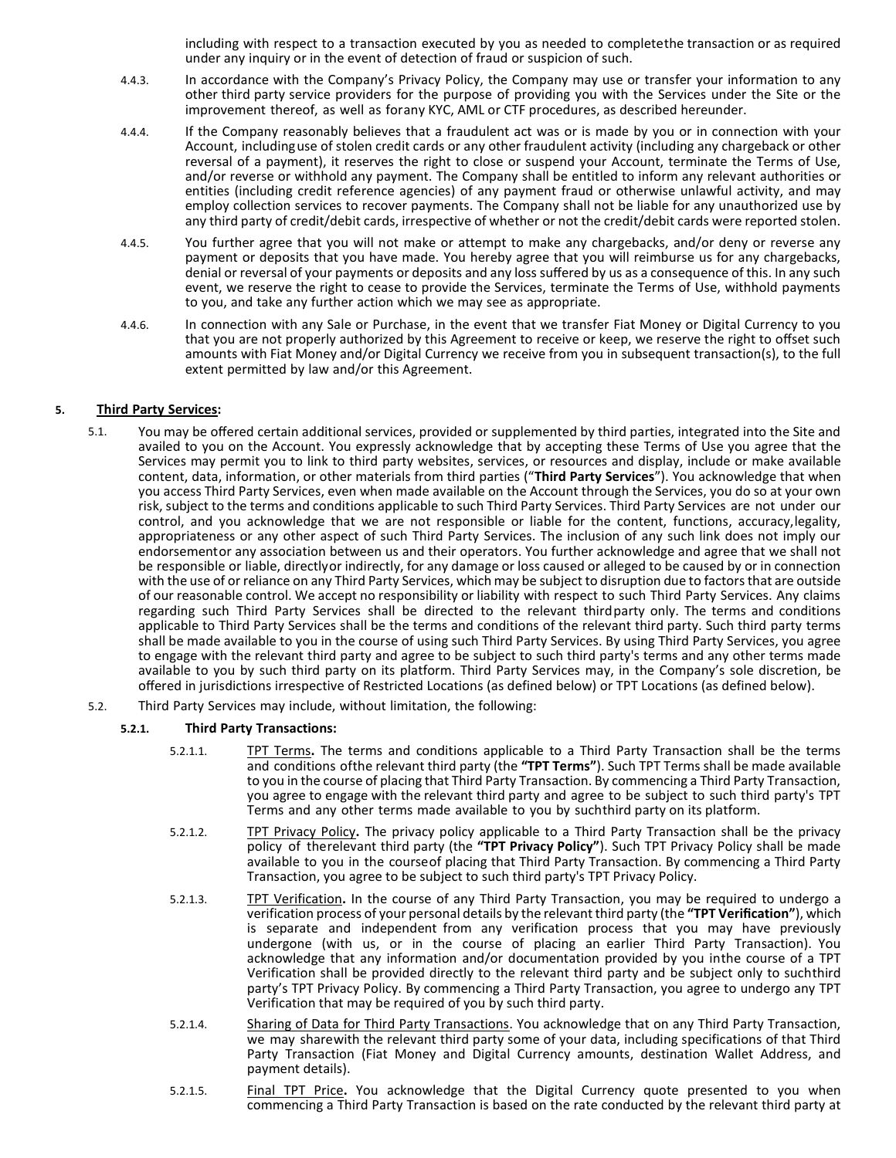including with respect to a transaction executed by you as needed to complete the transaction or as required under any inquiry or in the event of detection of fraud or suspicion of such.

- 4.4.3. In accordance with the Company's Privacy Policy, the Company may use or transfer your information to any other third party service providers for the purpose of providing you with the Services under the Site or the improvement thereof, as well as forany KYC, AML or CTF procedures, as described hereunder.
- 4.4.4. If the Company reasonably believes that a fraudulent act was or is made by you or in connection with your Account, including use of stolen credit cards or any other fraudulent activity (including any chargeback or other reversal of a payment), it reserves the right to close or suspend your Account, terminate the Terms of Use, and/or reverse or withhold any payment. The Company shall be entitled to inform any relevant authorities or entities (including credit reference agencies) of any payment fraud or otherwise unlawful activity, and may employ collection services to recover payments. The Company shall not be liable for any unauthorized use by any third party of credit/debit cards, irrespective of whether or not the credit/debit cards were reported stolen.
- 4.4.5. You further agree that you will not make or attempt to make any chargebacks, and/or deny or reverse any payment or deposits that you have made. You hereby agree that you will reimburse us for any chargebacks, denial or reversal of your payments or deposits and any loss suffered by us as a consequence of this. In any such event, we reserve the right to cease to provide the Services, terminate the Terms of Use, withhold payments to you, and take any further action which we may see as appropriate.
- 4.4.6. In connection with any Sale or Purchase, in the event that we transfer Fiat Money or Digital Currency to you that you are not properly authorized by this Agreement to receive or keep, we reserve the right to offset such amounts with Fiat Money and/or Digital Currency we receive from you in subsequent transaction(s), to the full extent permitted by law and/or this Agreement.

# 5. Third Party Services:

- 5.1. You may be offered certain additional services, provided or supplemented by third parties, integrated into the Site and availed to you on the Account. You expressly acknowledge that by accepting these Terms of Use you agree that the Services may permit you to link to third party websites, services, or resources and display, include or make available content, data, information, or other materials from third parties ("Third Party Services"). You acknowledge that when you access Third Party Services, even when made available on the Account through the Services, you do so at your own risk, subject to the terms and conditions applicable to such Third Party Services. Third Party Services are not under our control, and you acknowledge that we are not responsible or liable for the content, functions, accuracy, legality, appropriateness or any other aspect of such Third Party Services. The inclusion of any such link does not imply our endorsementor any association between us and their operators. You further acknowledge and agree that we shall not be responsible or liable, directly or indirectly, for any damage or loss caused or alleged to be caused by or in connection with the use of or reliance on any Third Party Services, which may be subject to disruption due to factors that are outside of our reasonable control. We accept no responsibility or liability with respect to such Third Party Services. Any claims regarding such Third Party Services shall be directed to the relevant third party only. The terms and conditions applicable to Third Party Services shall be the terms and conditions of the relevant third party. Such third party terms shall be made available to you in the course of using such Third Party Services. By using Third Party Services, you agree to engage with the relevant third party and agree to be subject to such third party's terms and any other terms made available to you by such third party on its platform. Third Party Services may, in the Company's sole discretion, be offered in jurisdictions irrespective of Restricted Locations (as defined below) or TPT Locations (as defined below).
- 5.2. Third Party Services may include, without limitation, the following:

# 5.2.1. Third Party Transactions:

- 5.2.1.1. TPT Terms. The terms and conditions applicable to a Third Party Transaction shall be the terms and conditions of the relevant third party (the "TPT Terms"). Such TPT Terms shall be made available to you in the course of placing that Third Party Transaction. By commencing a Third Party Transaction, you agree to engage with the relevant third party and agree to be subject to such third party's TPT Terms and any other terms made available to you by such third party on its platform.
- 5.2.1.2. TPT Privacy Policy. The privacy policy applicable to a Third Party Transaction shall be the privacy policy of the relevant third party (the "TPT Privacy Policy"). Such TPT Privacy Policy shall be made available to you in the courseof placing that Third Party Transaction. By commencing a Third Party Transaction, you agree to be subject to such third party's TPT Privacy Policy.
- 5.2.1.3. TPT Verification. In the course of any Third Party Transaction, you may be required to undergo a verification process of your personal details by the relevant third party (the "TPT Verification"), which is separate and independent from any verification process that you may have previously undergone (with us, or in the course of placing an earlier Third Party Transaction). You acknowledge that any information and/or documentation provided by you in the course of a TPT Verification shall be provided directly to the relevant third party and be subject only to suchthird party's TPT Privacy Policy. By commencing a Third Party Transaction, you agree to undergo any TPT Verification that may be required of you by such third party.
- 5.2.1.4. Sharing of Data for Third Party Transactions. You acknowledge that on any Third Party Transaction, we may share with the relevant third party some of your data, including specifications of that Third Party Transaction (Fiat Money and Digital Currency amounts, destination Wallet Address, and payment details).
- 5.2.1.5. Final TPT Price. You acknowledge that the Digital Currency quote presented to you when commencing a Third Party Transaction is based on the rate conducted by the relevant third party at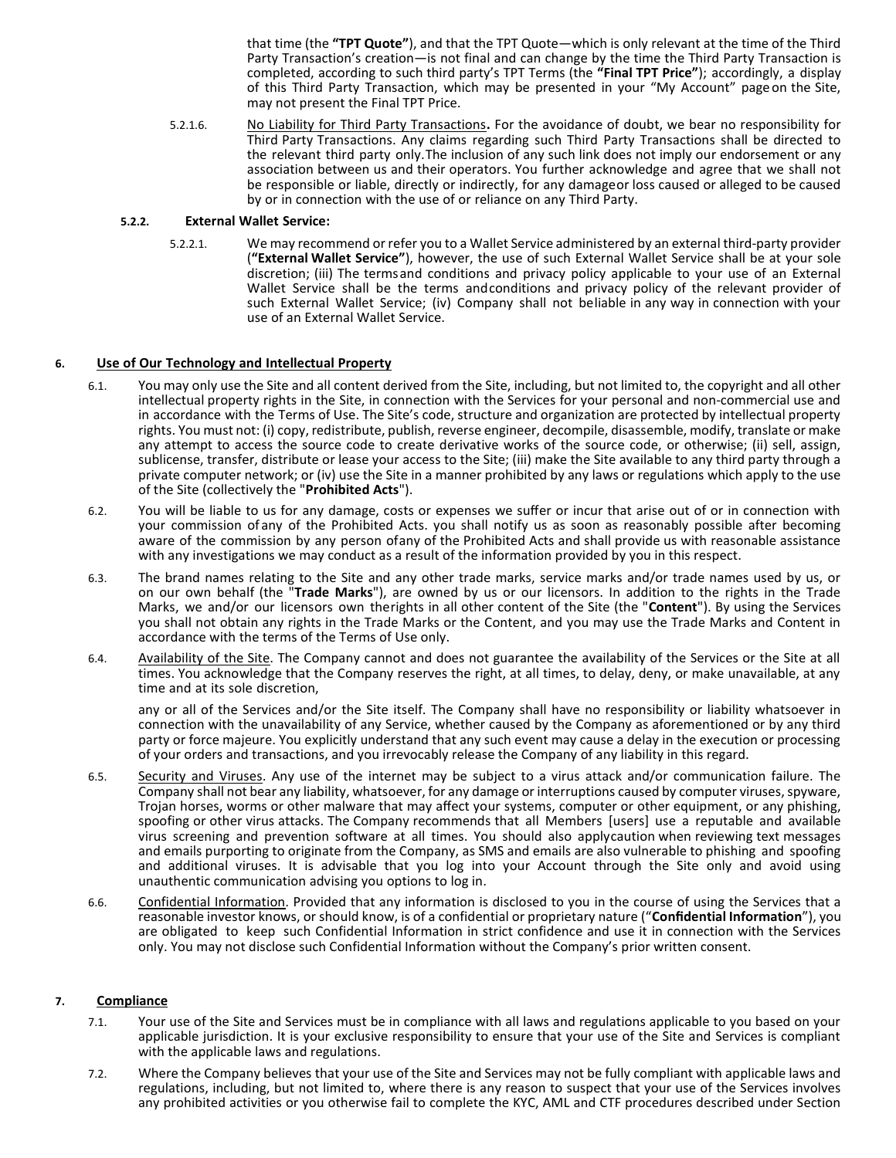that time (the "TPT Quote"), and that the TPT Quote—which is only relevant at the time of the Third Party Transaction's creation—is not final and can change by the time the Third Party Transaction is completed, according to such third party's TPT Terms (the "Final TPT Price"); accordingly, a display of this Third Party Transaction, which may be presented in your "My Account" page on the Site, may not present the Final TPT Price.

5.2.1.6. No Liability for Third Party Transactions. For the avoidance of doubt, we bear no responsibility for Third Party Transactions. Any claims regarding such Third Party Transactions shall be directed to the relevant third party only. The inclusion of any such link does not imply our endorsement or any association between us and their operators. You further acknowledge and agree that we shall not be responsible or liable, directly or indirectly, for any damage or loss caused or alleged to be caused by or in connection with the use of or reliance on any Third Party.

## 5.2.2. External Wallet Service:

5.2.2.1. We may recommend or refer you to a Wallet Service administered by an external third-party provider ("External Wallet Service"), however, the use of such External Wallet Service shall be at your sole discretion; (iii) The terms and conditions and privacy policy applicable to your use of an External Wallet Service shall be the terms and conditions and privacy policy of the relevant provider of such External Wallet Service; (iv) Company shall not be liable in any way in connection with your use of an External Wallet Service.

### 6. Use of Our Technology and Intellectual Property

- 6.1. You may only use the Site and all content derived from the Site, including, but not limited to, the copyright and all other intellectual property rights in the Site, in connection with the Services for your personal and non-commercial use and in accordance with the Terms of Use. The Site's code, structure and organization are protected by intellectual property rights. You must not: (i) copy, redistribute, publish, reverse engineer, decompile, disassemble, modify, translate or make any attempt to access the source code to create derivative works of the source code, or otherwise; (ii) sell, assign, sublicense, transfer, distribute or lease your access to the Site; (iii) make the Site available to any third party through a private computer network; or (iv) use the Site in a manner prohibited by any laws or regulations which apply to the use of the Site (collectively the "Prohibited Acts").
- 6.2. You will be liable to us for any damage, costs or expenses we suffer or incur that arise out of or in connection with your commission of any of the Prohibited Acts. you shall notify us as soon as reasonably possible after becoming aware of the commission by any person of any of the Prohibited Acts and shall provide us with reasonable assistance with any investigations we may conduct as a result of the information provided by you in this respect.
- 6.3. The brand names relating to the Site and any other trade marks, service marks and/or trade names used by us, or on our own behalf (the "Trade Marks"), are owned by us or our licensors. In addition to the rights in the Trade Marks, we and/or our licensors own the rights in all other content of the Site (the "Content"). By using the Services you shall not obtain any rights in the Trade Marks or the Content, and you may use the Trade Marks and Content in accordance with the terms of the Terms of Use only.
- 6.4. Availability of the Site. The Company cannot and does not guarantee the availability of the Services or the Site at all times. You acknowledge that the Company reserves the right, at all times, to delay, deny, or make unavailable, at any time and at its sole discretion,

any or all of the Services and/or the Site itself. The Company shall have no responsibility or liability whatsoever in connection with the unavailability of any Service, whether caused by the Company as aforementioned or by any third party or force majeure. You explicitly understand that any such event may cause a delay in the execution or processing of your orders and transactions, and you irrevocably release the Company of any liability in this regard.

- 6.5. Security and Viruses. Any use of the internet may be subject to a virus attack and/or communication failure. The Company shall not bear any liability, whatsoever, for any damage or interruptions caused by computer viruses, spyware, Trojan horses, worms or other malware that may affect your systems, computer or other equipment, or any phishing, spoofing or other virus attacks. The Company recommends that all Members [users] use a reputable and available virus screening and prevention software at all times. You should also apply caution when reviewing text messages and emails purporting to originate from the Company, as SMS and emails are also vulnerable to phishing and spoofing and additional viruses. It is advisable that you log into your Account through the Site only and avoid using unauthentic communication advising you options to log in.
- 6.6. Confidential Information. Provided that any information is disclosed to you in the course of using the Services that a reasonable investor knows, or should know, is of a confidential or proprietary nature ("Confidential Information"), you are obligated to keep such Confidential Information in strict confidence and use it in connection with the Services only. You may not disclose such Confidential Information without the Company's prior written consent.

## 7. Compliance

- 7.1. Your use of the Site and Services must be in compliance with all laws and regulations applicable to you based on your applicable jurisdiction. It is your exclusive responsibility to ensure that your use of the Site and Services is compliant with the applicable laws and regulations.
- 7.2. Where the Company believes that your use of the Site and Services may not be fully compliant with applicable laws and regulations, including, but not limited to, where there is any reason to suspect that your use of the Services involves any prohibited activities or you otherwise fail to complete the KYC, AML and CTF procedures described under Section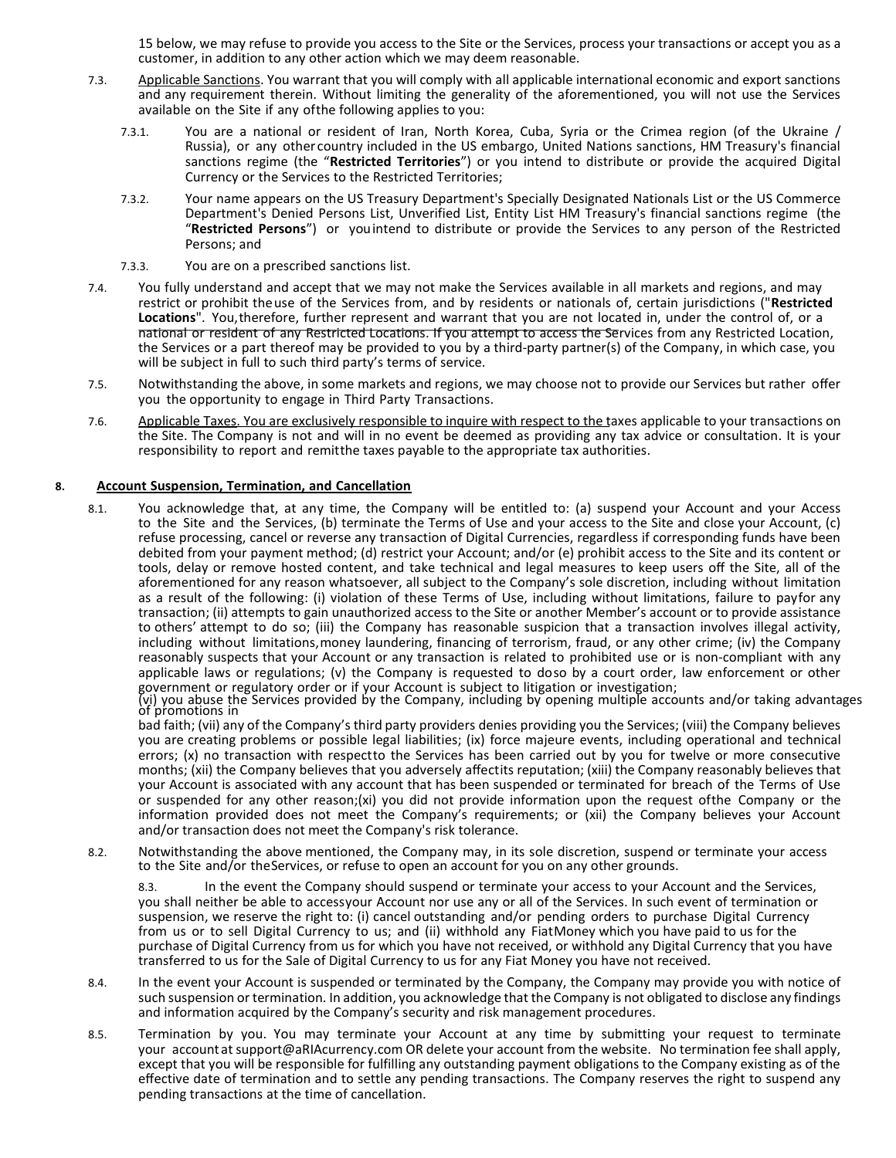15 below, we may refuse to provide you access to the Site or the Services, process your transactions or accept you as a customer, in addition to any other action which we may deem reasonable.

- 7.3. Applicable Sanctions. You warrant that you will comply with all applicable international economic and export sanctions and any requirement therein. Without limiting the generality of the aforementioned, you will not use the Services available on the Site if any of the following applies to you:
	- 7.3.1. You are a national or resident of Iran, North Korea, Cuba, Syria or the Crimea region (of the Ukraine / Russia), or any other country included in the US embargo, United Nations sanctions, HM Treasury's financial sanctions regime (the "Restricted Territories") or you intend to distribute or provide the acquired Digital Currency or the Services to the Restricted Territories;
	- 7.3.2. Your name appears on the US Treasury Department's Specially Designated Nationals List or the US Commerce Department's Denied Persons List, Unverified List, Entity List HM Treasury's financial sanctions regime (the "Restricted Persons") or you intend to distribute or provide the Services to any person of the Restricted Persons; and
	- 7.3.3. You are on a prescribed sanctions list.
- 7.4. You fully understand and accept that we may not make the Services available in all markets and regions, and may restrict or prohibit the use of the Services from, and by residents or nationals of, certain jurisdictions ("Restricted Locations". You, therefore, further represent and warrant that you are not located in, under the control of, or a national or resident of any Restricted Locations. If you attempt to access the Services from any Restricted Location, the Services or a part thereof may be provided to you by a third-party partner(s) of the Company, in which case, you will be subject in full to such third party's terms of service.
- 7.5. Notwithstanding the above, in some markets and regions, we may choose not to provide our Services but rather offer you the opportunity to engage in Third Party Transactions.
- 7.6. Applicable Taxes. You are exclusively responsible to inquire with respect to the taxes applicable to your transactions on the Site. The Company is not and will in no event be deemed as providing any tax advice or consultation. It is your responsibility to report and remitthe taxes payable to the appropriate tax authorities.

### 8. Account Suspension, Termination, and Cancellation

8.1. You acknowledge that, at any time, the Company will be entitled to: (a) suspend your Account and your Access to the Site and the Services, (b) terminate the Terms of Use and your access to the Site and close your Account, (c) refuse processing, cancel or reverse any transaction of Digital Currencies, regardless if corresponding funds have been debited from your payment method; (d) restrict your Account; and/or (e) prohibit access to the Site and its content or tools, delay or remove hosted content, and take technical and legal measures to keep users off the Site, all of the aforementioned for any reason whatsoever, all subject to the Company's sole discretion, including without limitation as a result of the following: (i) violation of these Terms of Use, including without limitations, failure to pay for any transaction; (ii) attempts to gain unauthorized access to the Site or another Member's account or to provide assistance to others' attempt to do so; (iii) the Company has reasonable suspicion that a transaction involves illegal activity, including without limitations, money laundering, financing of terrorism, fraud, or any other crime; (iv) the Company reasonably suspects that your Account or any transaction is related to prohibited use or is non-compliant with any applicable laws or regulations; (v) the Company is requested to doso by a court order, law enforcement or other government or regulatory order or if your Account is subject to litigation or investigation;

(vi) you abuse the Services provided by the Company, including by opening multiple accounts and/or taking advantages<br>of promotions in

bad faith; (vii) any of the Company's third party providers denies providing you the Services; (viii) the Company believes you are creating problems or possible legal liabilities; (ix) force majeure events, including operational and technical errors; (x) no transaction with respectto the Services has been carried out by you for twelve or more consecutive months; (xii) the Company believes that you adversely affectits reputation; (xiii) the Company reasonably believes that your Account is associated with any account that has been suspended or terminated for breach of the Terms of Use or suspended for any other reason;(xi) you did not provide information upon the request of the Company or the information provided does not meet the Company's requirements; or (xii) the Company believes your Account and/or transaction does not meet the Company's risk tolerance.

8.2. Notwithstanding the above mentioned, the Company may, in its sole discretion, suspend or terminate your access to the Site and/or the Services, or refuse to open an account for you on any other grounds.

8.3. In the event the Company should suspend or terminate your access to your Account and the Services, you shall neither be able to access your Account nor use any or all of the Services. In such event of termination or suspension, we reserve the right to: (i) cancel outstanding and/or pending orders to purchase Digital Currency from us or to sell Digital Currency to us; and (ii) withhold any Fiat Money which you have paid to us for the purchase of Digital Currency from us for which you have not received, or withhold any Digital Currency that you have transferred to us for the Sale of Digital Currency to us for any Fiat Money you have not received.

- 8.4. In the event your Account is suspended or terminated by the Company, the Company may provide you with notice of such suspension or termination. In addition, you acknowledge that the Company is not obligated to disclose any findings and information acquired by the Company's security and risk management procedures.
- 8.5. Termination by you. You may terminate your Account at any time by submitting your request to terminate your account at support@aRIAcurrency.com OR delete your account from the website. No termination fee shall apply, except that you will be responsible for fulfilling any outstanding payment obligations to the Company existing as of the effective date of termination and to settle any pending transactions. The Company reserves the right to suspend any pending transactions at the time of cancellation.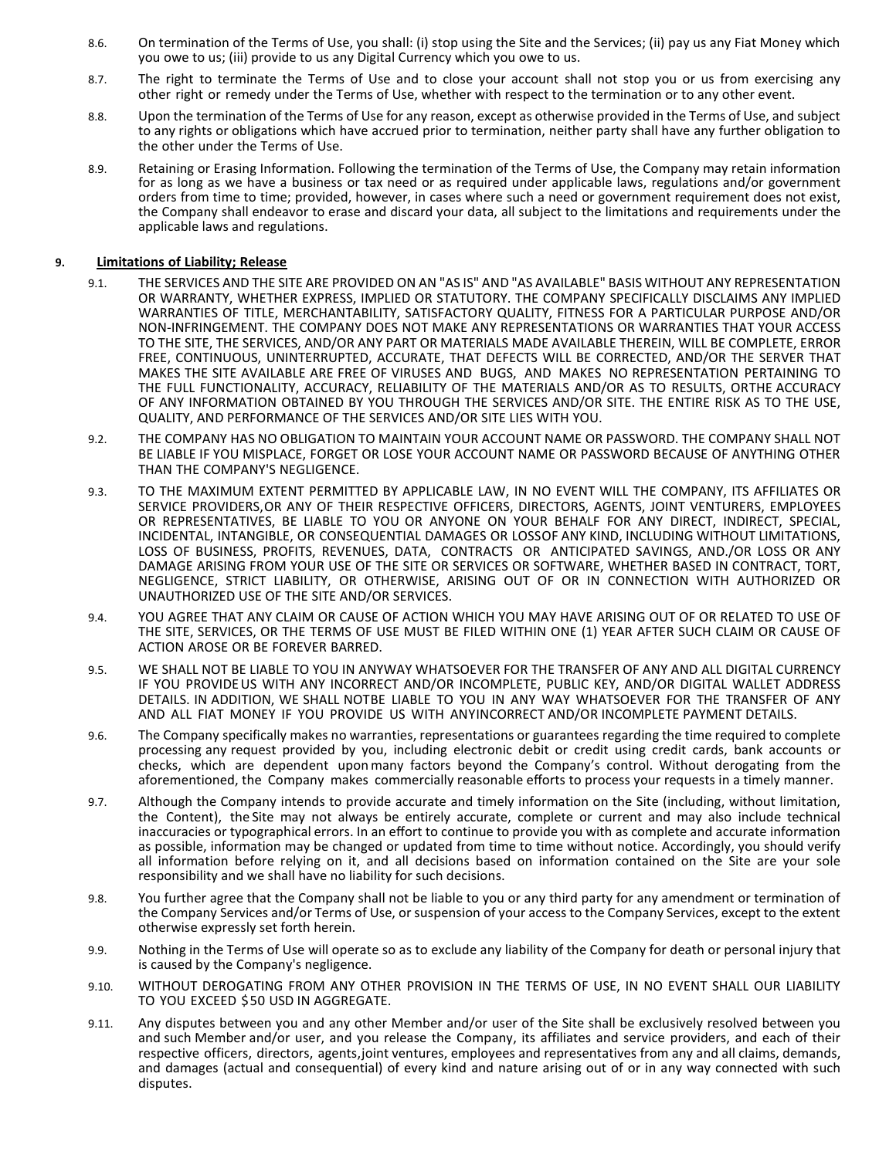- 8.6. On termination of the Terms of Use, you shall: (i) stop using the Site and the Services; (ii) pay us any Fiat Money which you owe to us; (iii) provide to us any Digital Currency which you owe to us.
- 8.7. The right to terminate the Terms of Use and to close your account shall not stop you or us from exercising any other right or remedy under the Terms of Use, whether with respect to the termination or to any other event.
- 8.8. Upon the termination of the Terms of Use for any reason, except as otherwise provided in the Terms of Use, and subject to any rights or obligations which have accrued prior to termination, neither party shall have any further obligation to the other under the Terms of Use.
- 8.9. Retaining or Erasing Information. Following the termination of the Terms of Use, the Company may retain information for as long as we have a business or tax need or as required under applicable laws, regulations and/or government orders from time to time; provided, however, in cases where such a need or government requirement does not exist, the Company shall endeavor to erase and discard your data, all subject to the limitations and requirements under the applicable laws and regulations.

## 9. Limitations of Liability; Release

- 9.1. THE SERVICES AND THE SITE ARE PROVIDED ON AN "AS IS" AND "AS AVAILABLE" BASIS WITHOUT ANY REPRESENTATION OR WARRANTY, WHETHER EXPRESS, IMPLIED OR STATUTORY. THE COMPANY SPECIFICALLY DISCLAIMS ANY IMPLIED WARRANTIES OF TITLE, MERCHANTABILITY, SATISFACTORY QUALITY, FITNESS FOR A PARTICULAR PURPOSE AND/OR NON-INFRINGEMENT. THE COMPANY DOES NOT MAKE ANY REPRESENTATIONS OR WARRANTIES THAT YOUR ACCESS TO THE SITE, THE SERVICES, AND/OR ANY PART OR MATERIALS MADE AVAILABLE THEREIN, WILL BE COMPLETE, ERROR FREE, CONTINUOUS, UNINTERRUPTED, ACCURATE, THAT DEFECTS WILL BE CORRECTED, AND/OR THE SERVER THAT MAKES THE SITE AVAILABLE ARE FREE OF VIRUSES AND BUGS, AND MAKES NO REPRESENTATION PERTAINING TO THE FULL FUNCTIONALITY, ACCURACY, RELIABILITY OF THE MATERIALS AND/OR AS TO RESULTS, OR THE ACCURACY OF ANY INFORMATION OBTAINED BY YOU THROUGH THE SERVICES AND/OR SITE. THE ENTIRE RISK AS TO THE USE, QUALITY, AND PERFORMANCE OF THE SERVICES AND/OR SITE LIES WITH YOU.
- 9.2. THE COMPANY HAS NO OBLIGATION TO MAINTAIN YOUR ACCOUNT NAME OR PASSWORD. THE COMPANY SHALL NOT BE LIABLE IF YOU MISPLACE, FORGET OR LOSE YOUR ACCOUNT NAME OR PASSWORD BECAUSE OF ANYTHING OTHER THAN THE COMPANY'S NEGLIGENCE.
- 9.3. TO THE MAXIMUM EXTENT PERMITTED BY APPLICABLE LAW, IN NO EVENT WILL THE COMPANY, ITS AFFILIATES OR SERVICE PROVIDERS, OR ANY OF THEIR RESPECTIVE OFFICERS, DIRECTORS, AGENTS, JOINT VENTURERS, EMPLOYEES OR REPRESENTATIVES, BE LIABLE TO YOU OR ANYONE ON YOUR BEHALF FOR ANY DIRECT, INDIRECT, SPECIAL, INCIDENTAL, INTANGIBLE, OR CONSEQUENTIAL DAMAGES OR LOSS OF ANY KIND, INCLUDING WITHOUT LIMITATIONS, LOSS OF BUSINESS, PROFITS, REVENUES, DATA, CONTRACTS OR ANTICIPATED SAVINGS, AND./OR LOSS OR ANY DAMAGE ARISING FROM YOUR USE OF THE SITE OR SERVICES OR SOFTWARE, WHETHER BASED IN CONTRACT, TORT, NEGLIGENCE, STRICT LIABILITY, OR OTHERWISE, ARISING OUT OF OR IN CONNECTION WITH AUTHORIZED OR UNAUTHORIZED USE OF THE SITE AND/OR SERVICES.
- 9.4. YOU AGREE THAT ANY CLAIM OR CAUSE OF ACTION WHICH YOU MAY HAVE ARISING OUT OF OR RELATED TO USE OF THE SITE, SERVICES, OR THE TERMS OF USE MUST BE FILED WITHIN ONE (1) YEAR AFTER SUCH CLAIM OR CAUSE OF ACTION AROSE OR BE FOREVER BARRED.
- 9.5. WE SHALL NOT BE LIABLE TO YOU IN ANYWAY WHATSOEVER FOR THE TRANSFER OF ANY AND ALL DIGITAL CURRENCY IF YOU PROVIDE US WITH ANY INCORRECT AND/OR INCOMPLETE, PUBLIC KEY, AND/OR DIGITAL WALLET ADDRESS DETAILS. IN ADDITION, WE SHALL NOTBE LIABLE TO YOU IN ANY WAY WHATSOEVER FOR THE TRANSFER OF ANY AND ALL FIAT MONEY IF YOU PROVIDE US WITH ANY INCORRECT AND/OR INCOMPLETE PAYMENT DETAILS.
- 9.6. The Company specifically makes no warranties, representations or guarantees regarding the time required to complete processing any request provided by you, including electronic debit or credit using credit cards, bank accounts or checks, which are dependent upon many factors beyond the Company's control. Without derogating from the aforementioned, the Company makes commercially reasonable efforts to process your requests in a timely manner.
- 9.7. Although the Company intends to provide accurate and timely information on the Site (including, without limitation, the Content), the Site may not always be entirely accurate, complete or current and may also include technical inaccuracies or typographical errors. In an effort to continue to provide you with as complete and accurate information as possible, information may be changed or updated from time to time without notice. Accordingly, you should verify all information before relying on it, and all decisions based on information contained on the Site are your sole responsibility and we shall have no liability for such decisions.
- 9.8. You further agree that the Company shall not be liable to you or any third party for any amendment or termination of the Company Services and/or Terms of Use, or suspension of your access to the Company Services, except to the extent otherwise expressly set forth herein.
- 9.9. Nothing in the Terms of Use will operate so as to exclude any liability of the Company for death or personal injury that is caused by the Company's negligence.
- 9.10. WITHOUT DEROGATING FROM ANY OTHER PROVISION IN THE TERMS OF USE, IN NO EVENT SHALL OUR LIABILITY TO YOU EXCEED \$50 USD IN AGGREGATE.
- 9.11. Any disputes between you and any other Member and/or user of the Site shall be exclusively resolved between you and such Member and/or user, and you release the Company, its affiliates and service providers, and each of their respective officers, directors, agents, joint ventures, employees and representatives from any and all claims, demands, and damages (actual and consequential) of every kind and nature arising out of or in any way connected with such disputes.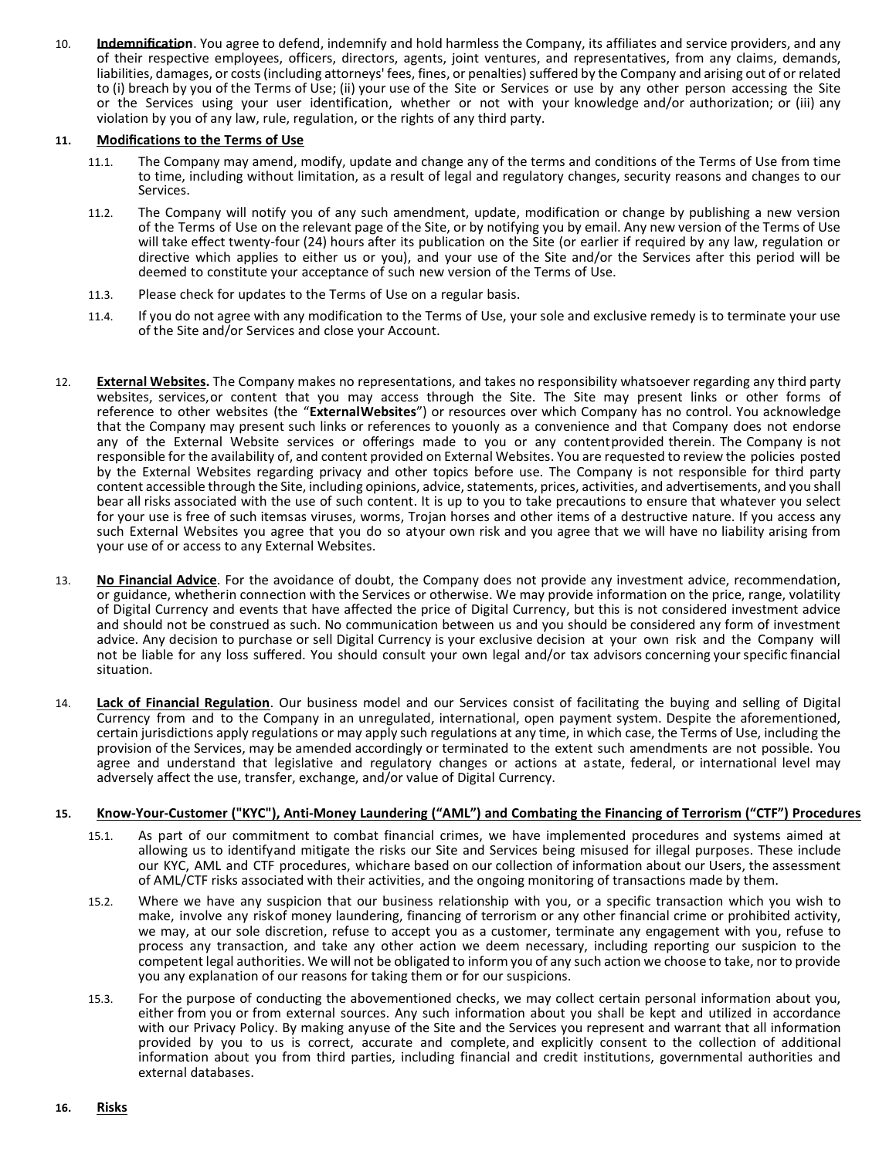10. **Indemnification**. You agree to defend, indemnify and hold harmless the Company, its affiliates and service providers, and any of their respective employees, officers, directors, agents, joint ventures, and representatives, from any claims, demands, liabilities, damages, or costs (including attorneys' fees, fines, or penalties) suffered by the Company and arising out of or related to (i) breach by you of the Terms of Use; (ii) your use of the Site or Services or use by any other person accessing the Site or the Services using your user identification, whether or not with your knowledge and/or authorization; or (iii) any violation by you of any law, rule, regulation, or the rights of any third party.

## 11. Modifications to the Terms of Use

- 11.1. The Company may amend, modify, update and change any of the terms and conditions of the Terms of Use from time to time, including without limitation, as a result of legal and regulatory changes, security reasons and changes to our Services.
- 11.2. The Company will notify you of any such amendment, update, modification or change by publishing a new version of the Terms of Use on the relevant page of the Site, or by notifying you by email. Any new version of the Terms of Use will take effect twenty-four (24) hours after its publication on the Site (or earlier if required by any law, regulation or directive which applies to either us or you), and your use of the Site and/or the Services after this period will be deemed to constitute your acceptance of such new version of the Terms of Use.
- 11.3. Please check for updates to the Terms of Use on a regular basis.
- 11.4. If you do not agree with any modification to the Terms of Use, your sole and exclusive remedy is to terminate your use of the Site and/or Services and close your Account.
- 12. External Websites. The Company makes no representations, and takes no responsibility whatsoever regarding any third party websites, services, or content that you may access through the Site. The Site may present links or other forms of reference to other websites (the "External Websites") or resources over which Company has no control. You acknowledge that the Company may present such links or references to you only as a convenience and that Company does not endorse any of the External Website services or offerings made to you or any content provided therein. The Company is not responsible for the availability of, and content provided on External Websites. You are requested to review the policies posted by the External Websites regarding privacy and other topics before use. The Company is not responsible for third party content accessible through the Site, including opinions, advice, statements, prices, activities, and advertisements, and you shall bear all risks associated with the use of such content. It is up to you to take precautions to ensure that whatever you select for your use is free of such itemsas viruses, worms, Trojan horses and other items of a destructive nature. If you access any such External Websites you agree that you do so atyour own risk and you agree that we will have no liability arising from your use of or access to any External Websites.
- 13. No Financial Advice. For the avoidance of doubt, the Company does not provide any investment advice, recommendation, or guidance, whetherin connection with the Services or otherwise. We may provide information on the price, range, volatility of Digital Currency and events that have affected the price of Digital Currency, but this is not considered investment advice and should not be construed as such. No communication between us and you should be considered any form of investment advice. Any decision to purchase or sell Digital Currency is your exclusive decision at your own risk and the Company will not be liable for any loss suffered. You should consult your own legal and/or tax advisors concerning your specific financial situation.
- 14. Lack of Financial Regulation. Our business model and our Services consist of facilitating the buying and selling of Digital Currency from and to the Company in an unregulated, international, open payment system. Despite the aforementioned, certain jurisdictions apply regulations or may apply such regulations at any time, in which case, the Terms of Use, including the provision of the Services, may be amended accordingly or terminated to the extent such amendments are not possible. You agree and understand that legislative and regulatory changes or actions at a state, federal, or international level may adversely affect the use, transfer, exchange, and/or value of Digital Currency.

#### 15. Know-Your-Customer ("KYC"), Anti-Money Laundering ("AML") and Combating the Financing of Terrorism ("CTF") Procedures

- 15.1. As part of our commitment to combat financial crimes, we have implemented procedures and systems aimed at allowing us to identify and mitigate the risks our Site and Services being misused for illegal purposes. These include our KYC, AML and CTF procedures, whichare based on our collection of information about our Users, the assessment of AML/CTF risks associated with their activities, and the ongoing monitoring of transactions made by them.
- 15.2. Where we have any suspicion that our business relationship with you, or a specific transaction which you wish to make, involve any riskof money laundering, financing of terrorism or any other financial crime or prohibited activity, we may, at our sole discretion, refuse to accept you as a customer, terminate any engagement with you, refuse to process any transaction, and take any other action we deem necessary, including reporting our suspicion to the competent legal authorities. We will not be obligated to inform you of any such action we choose to take, nor to provide you any explanation of our reasons for taking them or for our suspicions.
- 15.3. For the purpose of conducting the abovementioned checks, we may collect certain personal information about you, either from you or from external sources. Any such information about you shall be kept and utilized in accordance with our Privacy Policy. By making any use of the Site and the Services you represent and warrant that all information provided by you to us is correct, accurate and complete, and explicitly consent to the collection of additional information about you from third parties, including financial and credit institutions, governmental authorities and external databases.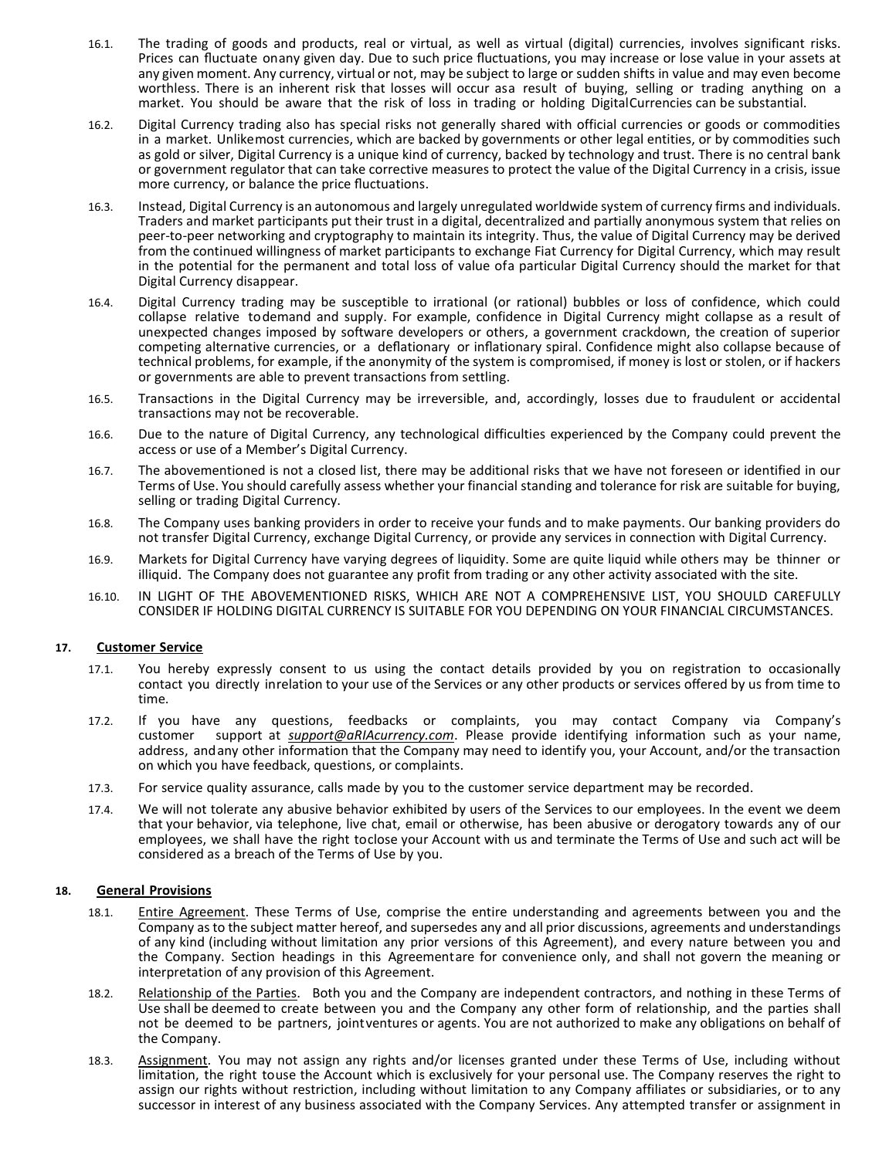- 16.1. The trading of goods and products, real or virtual, as well as virtual (digital) currencies, involves significant risks. Prices can fluctuate on any given day. Due to such price fluctuations, you may increase or lose value in your assets at any given moment. Any currency, virtual or not, may be subject to large or sudden shifts in value and may even become worthless. There is an inherent risk that losses will occur asa result of buying, selling or trading anything on a market. You should be aware that the risk of loss in trading or holding Digital Currencies can be substantial.
- 16.2. Digital Currency trading also has special risks not generally shared with official currencies or goods or commodities in a market. Unlike most currencies, which are backed by governments or other legal entities, or by commodities such as gold or silver, Digital Currency is a unique kind of currency, backed by technology and trust. There is no central bank or government regulator that can take corrective measures to protect the value of the Digital Currency in a crisis, issue more currency, or balance the price fluctuations.
- 16.3. Instead, Digital Currency is an autonomous and largely unregulated worldwide system of currency firms and individuals. Traders and market participants put their trust in a digital, decentralized and partially anonymous system that relies on peer-to-peer networking and cryptography to maintain its integrity. Thus, the value of Digital Currency may be derived from the continued willingness of market participants to exchange Fiat Currency for Digital Currency, which may result in the potential for the permanent and total loss of value ofa particular Digital Currency should the market for that Digital Currency disappear.
- 16.4. Digital Currency trading may be susceptible to irrational (or rational) bubbles or loss of confidence, which could collapse relative to demand and supply. For example, confidence in Digital Currency might collapse as a result of unexpected changes imposed by software developers or others, a government crackdown, the creation of superior competing alternative currencies, or a deflationary or inflationary spiral. Confidence might also collapse because of technical problems, for example, if the anonymity of the system is compromised, if money is lost or stolen, or if hackers or governments are able to prevent transactions from settling.
- 16.5. Transactions in the Digital Currency may be irreversible, and, accordingly, losses due to fraudulent or accidental transactions may not be recoverable.
- 16.6. Due to the nature of Digital Currency, any technological difficulties experienced by the Company could prevent the access or use of a Member's Digital Currency.
- 16.7. The abovementioned is not a closed list, there may be additional risks that we have not foreseen or identified in our Terms of Use. You should carefully assess whether your financial standing and tolerance for risk are suitable for buying, selling or trading Digital Currency.
- 16.8. The Company uses banking providers in order to receive your funds and to make payments. Our banking providers do not transfer Digital Currency, exchange Digital Currency, or provide any services in connection with Digital Currency.
- 16.9. Markets for Digital Currency have varying degrees of liquidity. Some are quite liquid while others may be thinner or illiquid. The Company does not guarantee any profit from trading or any other activity associated with the site.
- 16.10. IN LIGHT OF THE ABOVEMENTIONED RISKS, WHICH ARE NOT A COMPREHENSIVE LIST, YOU SHOULD CAREFULLY CONSIDER IF HOLDING DIGITAL CURRENCY IS SUITABLE FOR YOU DEPENDING ON YOUR FINANCIAL CIRCUMSTANCES.

## 17. Customer Service

- 17.1. You hereby expressly consent to us using the contact details provided by you on registration to occasionally contact you directly in relation to your use of the Services or any other products or services offered by us from time to time.
- 17.2. If you have any questions, feedbacks or complaints, you may contact Company via Company's customer support at support@aRIAcurrency.com. Please provide identifying information such as your name, address, and any other information that the Company may need to identify you, your Account, and/or the transaction on which you have feedback, questions, or complaints.
- 17.3. For service quality assurance, calls made by you to the customer service department may be recorded.
- 17.4. We will not tolerate any abusive behavior exhibited by users of the Services to our employees. In the event we deem that your behavior, via telephone, live chat, email or otherwise, has been abusive or derogatory towards any of our employees, we shall have the right toclose your Account with us and terminate the Terms of Use and such act will be considered as a breach of the Terms of Use by you.

## 18. General Provisions

- 18.1. Entire Agreement. These Terms of Use, comprise the entire understanding and agreements between you and the Company as to the subject matter hereof, and supersedes any and all prior discussions, agreements and understandings of any kind (including without limitation any prior versions of this Agreement), and every nature between you and the Company. Section headings in this Agreementare for convenience only, and shall not govern the meaning or interpretation of any provision of this Agreement.
- 18.2. Relationship of the Parties. Both you and the Company are independent contractors, and nothing in these Terms of Use shall be deemed to create between you and the Company any other form of relationship, and the parties shall not be deemed to be partners, joint ventures or agents. You are not authorized to make any obligations on behalf of the Company.
- 18.3. Assignment. You may not assign any rights and/or licenses granted under these Terms of Use, including without limitation, the right touse the Account which is exclusively for your personal use. The Company reserves the right to assign our rights without restriction, including without limitation to any Company affiliates or subsidiaries, or to any successor in interest of any business associated with the Company Services. Any attempted transfer or assignment in